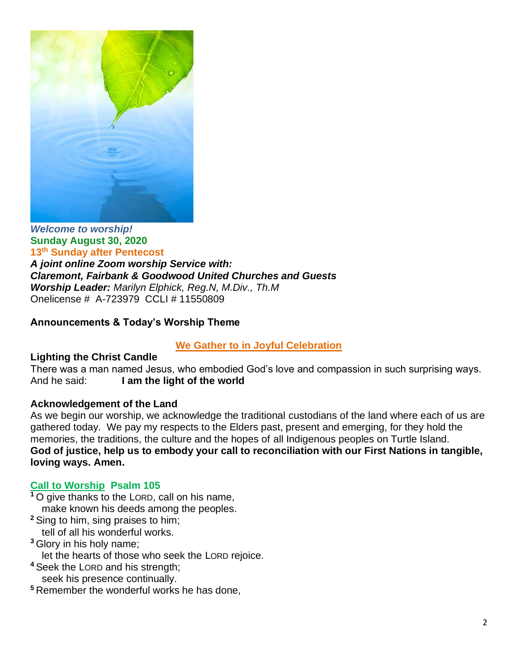

*Welcome to worship!* **Sunday August 30, 2020 13 th Sunday after Pentecost** 

*A joint online Zoom worship Service with: Claremont, Fairbank & Goodwood United Churches and Guests Worship Leader: Marilyn Elphick, Reg.N, M.Div., Th.M* Onelicense # A-723979 CCLI # 11550809

# **Announcements & Today's Worship Theme**

#### **We Gather to in Joyful Celebration**

#### **Lighting the Christ Candle**

There was a man named Jesus, who embodied God's love and compassion in such surprising ways. And he said: **I am the light of the world** 

#### **Acknowledgement of the Land**

As we begin our worship, we acknowledge the traditional custodians of the land where each of us are gathered today. We pay my respects to the Elders past, present and emerging, for they hold the memories, the traditions, the culture and the hopes of all Indigenous peoples on Turtle Island. **God of justice, help us to embody your call to reconciliation with our First Nations in tangible, loving ways. Amen.** 

#### **Call to Worship Psalm 105**

- **<sup>1</sup>** O give thanks to the LORD, call on his name, make known his deeds among the peoples.
- **<sup>2</sup>** Sing to him, sing praises to him;

tell of all his wonderful works.

**<sup>3</sup>** Glory in his holy name;

let the hearts of those who seek the LORD rejoice.

**<sup>4</sup>** Seek the LORD and his strength;

seek his presence continually.

**<sup>5</sup>** Remember the wonderful works he has done,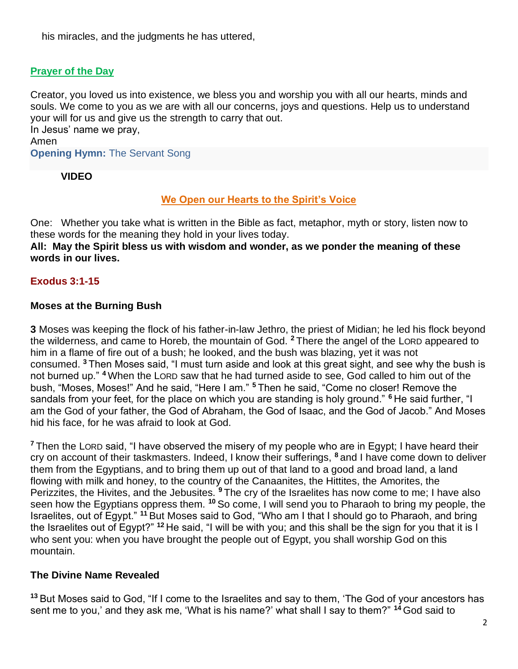his miracles, and the judgments he has uttered,

# **Prayer of the Day**

Creator, you loved us into existence, we bless you and worship you with all our hearts, minds and souls. We come to you as we are with all our concerns, joys and questions. Help us to understand your will for us and give us the strength to carry that out.

In Jesus' name we pray, Amen **Opening Hymn:** The Servant Song

## **VIDEO**

## **We Open our Hearts to the Spirit's Voice**

One: Whether you take what is written in the Bible as fact, metaphor, myth or story, listen now to these words for the meaning they hold in your lives today.

**All: May the Spirit bless us with wisdom and wonder, as we ponder the meaning of these words in our lives.**

# **Exodus 3:1-15**

## **Moses at the Burning Bush**

**3** Moses was keeping the flock of his father-in-law Jethro, the priest of Midian; he led his flock beyond the wilderness, and came to Horeb, the mountain of God. **<sup>2</sup>** There the angel of the LORD appeared to him in a flame of fire out of a bush; he looked, and the bush was blazing, yet it was not consumed. **<sup>3</sup>** Then Moses said, "I must turn aside and look at this great sight, and see why the bush is not burned up." **<sup>4</sup>** When the LORD saw that he had turned aside to see, God called to him out of the bush, "Moses, Moses!" And he said, "Here I am." **<sup>5</sup>** Then he said, "Come no closer! Remove the sandals from your feet, for the place on which you are standing is holy ground." **<sup>6</sup>** He said further, "I am the God of your father, the God of Abraham, the God of Isaac, and the God of Jacob." And Moses hid his face, for he was afraid to look at God.

**<sup>7</sup>** Then the LORD said, "I have observed the misery of my people who are in Egypt; I have heard their cry on account of their taskmasters. Indeed, I know their sufferings, **<sup>8</sup>** and I have come down to deliver them from the Egyptians, and to bring them up out of that land to a good and broad land, a land flowing with milk and honey, to the country of the Canaanites, the Hittites, the Amorites, the Perizzites, the Hivites, and the Jebusites. **<sup>9</sup>** The cry of the Israelites has now come to me; I have also seen how the Egyptians oppress them. **<sup>10</sup>** So come, I will send you to Pharaoh to bring my people, the Israelites, out of Egypt." **<sup>11</sup>** But Moses said to God, "Who am I that I should go to Pharaoh, and bring the Israelites out of Egypt?" **<sup>12</sup>** He said, "I will be with you; and this shall be the sign for you that it is I who sent you: when you have brought the people out of Egypt, you shall worship God on this mountain.

#### **The Divine Name Revealed**

**<sup>13</sup>** But Moses said to God, "If I come to the Israelites and say to them, 'The God of your ancestors has sent me to you,' and they ask me, 'What is his name?' what shall I say to them?" **<sup>14</sup>** God said to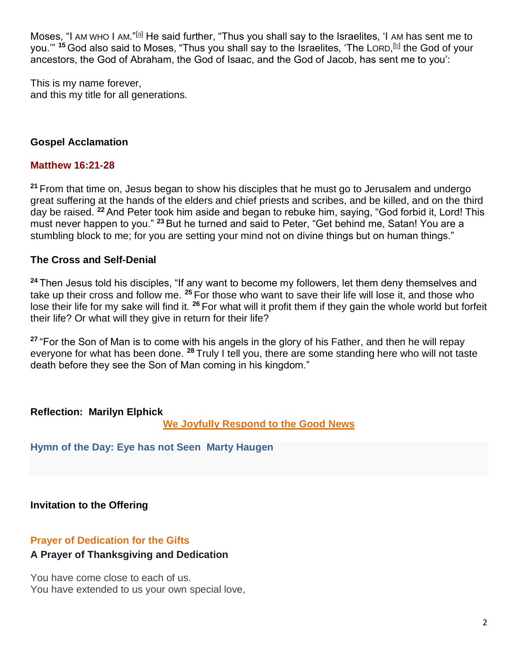Moses, "I AM WHO I AM."<sup>[\[a\]](about:blank#fen-NRSV-1594a)</sup> He said further, "Thus you shall say to the Israelites, 'I AM has sent me to you.'" <sup>15</sup> God also said to Moses, "Thus you shall say to the Israelites, 'The LORD,<sup>[<u>b</u>]</sup> the God of your ancestors, the God of Abraham, the God of Isaac, and the God of Jacob, has sent me to you':

This is my name forever, and this my title for all generations.

## **Gospel Acclamation**

## **Matthew 16:21-28**

**<sup>21</sup>** From that time on, Jesus began to show his disciples that he must go to Jerusalem and undergo great suffering at the hands of the elders and chief priests and scribes, and be killed, and on the third day be raised. **<sup>22</sup>** And Peter took him aside and began to rebuke him, saying, "God forbid it, Lord! This must never happen to you." **<sup>23</sup>** But he turned and said to Peter, "Get behind me, Satan! You are a stumbling block to me; for you are setting your mind not on divine things but on human things."

#### **The Cross and Self-Denial**

**<sup>24</sup>** Then Jesus told his disciples, "If any want to become my followers, let them deny themselves and take up their cross and follow me. **<sup>25</sup>** For those who want to save their life will lose it, and those who lose their life for my sake will find it. **<sup>26</sup>** For what will it profit them if they gain the whole world but forfeit their life? Or what will they give in return for their life?

**<sup>27</sup>** "For the Son of Man is to come with his angels in the glory of his Father, and then he will repay everyone for what has been done. **<sup>28</sup>** Truly I tell you, there are some standing here who will not taste death before they see the Son of Man coming in his kingdom."

#### **Reflection: Marilyn Elphick**

**We Joyfully Respond to the Good News**

**Hymn of the Day: Eye has not Seen Marty Haugen**

**Invitation to the Offering**

# **Prayer of Dedication for the Gifts**

#### **A Prayer of Thanksgiving and Dedication**

You have come close to each of us. You have extended to us your own special love,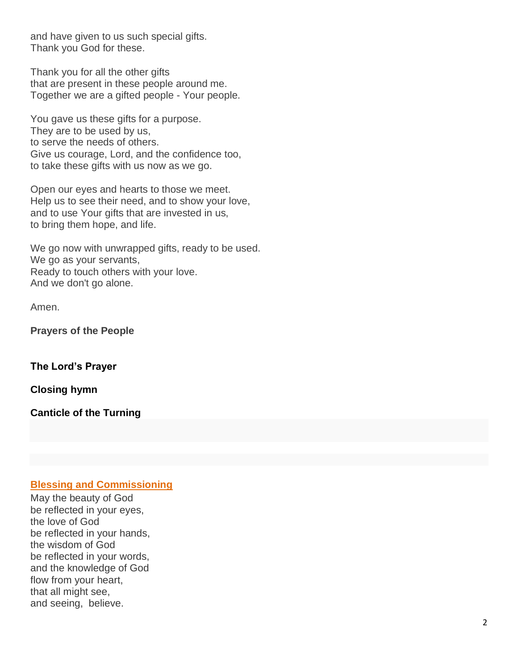and have given to us such special gifts. Thank you God for these.

Thank you for all the other gifts that are present in these people around me. Together we are a gifted people - Your people.

You gave us these gifts for a purpose. They are to be used by us, to serve the needs of others. Give us courage, Lord, and the confidence too, to take these gifts with us now as we go.

Open our eyes and hearts to those we meet. Help us to see their need, and to show your love, and to use Your gifts that are invested in us, to bring them hope, and life.

We go now with unwrapped gifts, ready to be used. We go as your servants, Ready to touch others with your love. And we don't go alone.

Amen.

**Prayers of the People**

**The Lord's Prayer**

**Closing hymn**

**Canticle of the Turning**

#### **Blessing and Commissioning**

May the beauty of God be reflected in your eyes, the love of God be reflected in your hands, the wisdom of God be reflected in your words, and the knowledge of God flow from your heart, that all might see, and seeing, believe.